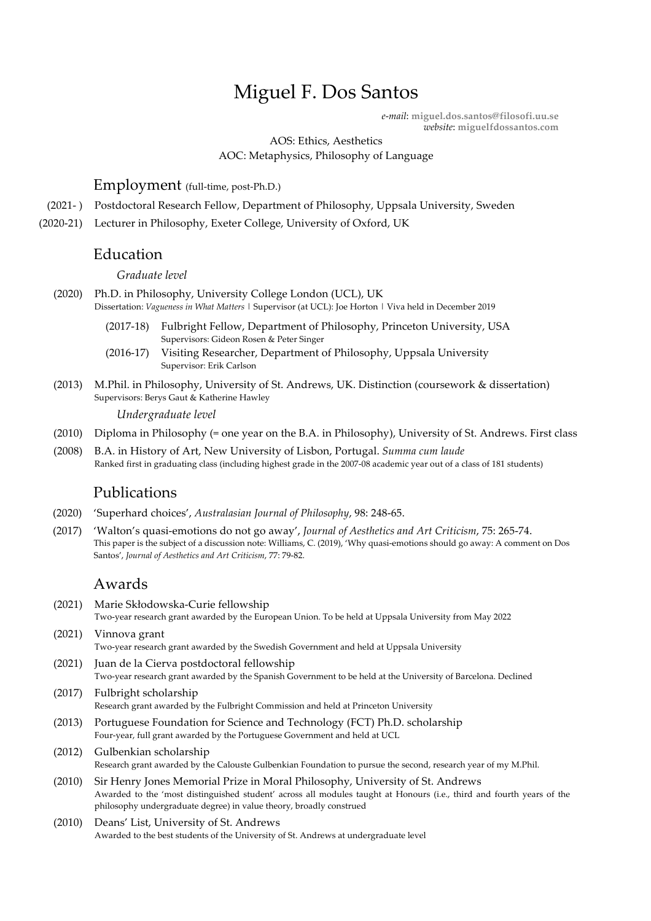# Miguel F. Dos Santos

*e-mail*: **miguel.dos.santos@filosofi.uu.se** *website*: **miguelfdossantos.com**

AOS: Ethics, Aesthetics AOC: Metaphysics, Philosophy of Language

### Employment (full-time, post-Ph.D.)

- (2021- ) Postdoctoral Research Fellow, Department of Philosophy, Uppsala University, Sweden
- (2020-21) Lecturer in Philosophy, Exeter College, University of Oxford, UK

#### Education

#### *Graduate level*

- (2020) Ph.D. in Philosophy, University College London (UCL), UK Dissertation: *Vagueness in What Matters* | Supervisor (at UCL): Joe Horton | Viva held in December 2019
	- (2017-18) Fulbright Fellow, Department of Philosophy, Princeton University, USA Supervisors: Gideon Rosen & Peter Singer
	- (2016-17) Visiting Researcher, Department of Philosophy, Uppsala University Supervisor: Erik Carlson
- (2013) M.Phil. in Philosophy, University of St. Andrews, UK. Distinction (coursework & dissertation) Supervisors: Berys Gaut & Katherine Hawley

#### *Undergraduate level*

- (2010) Diploma in Philosophy (= one year on the B.A. in Philosophy), University of St. Andrews. First class
- (2008) B.A. in History of Art, New University of Lisbon, Portugal. *Summa cum laude* Ranked first in graduating class (including highest grade in the 2007-08 academic year out of a class of 181 students)

### Publications

- (2020) 'Superhard choices', *Australasian Journal of Philosophy*, 98: 248-65.
- (2017) 'Walton's quasi-emotions do not go away', *Journal of Aesthetics and Art Criticism*, 75: 265-74. This paper is the subject of a discussion note: Williams, C. (2019), 'Why quasi-emotions should go away: A comment on Dos Santos', *Journal of Aesthetics and Art Criticism*, 77: 79-82.

## Awards

- (2021) Marie Skłodowska-Curie fellowship Two-year research grant awarded by the European Union. To be held at Uppsala University from May 2022
- (2021) Vinnova grant Two-year research grant awarded by the Swedish Government and held at Uppsala University
- (2021) Juan de la Cierva postdoctoral fellowship Two-year research grant awarded by the Spanish Government to be held at the University of Barcelona. Declined
- (2017) Fulbright scholarship Research grant awarded by the Fulbright Commission and held at Princeton University
- (2013) Portuguese Foundation for Science and Technology (FCT) Ph.D. scholarship Four-year, full grant awarded by the Portuguese Government and held at UCL
- (2012) Gulbenkian scholarship Research grant awarded by the Calouste Gulbenkian Foundation to pursue the second, research year of my M.Phil.
- (2010) Sir Henry Jones Memorial Prize in Moral Philosophy, University of St. Andrews Awarded to the 'most distinguished student' across all modules taught at Honours (i.e., third and fourth years of the philosophy undergraduate degree) in value theory, broadly construed
- (2010) Deans' List, University of St. Andrews Awarded to the best students of the University of St. Andrews at undergraduate level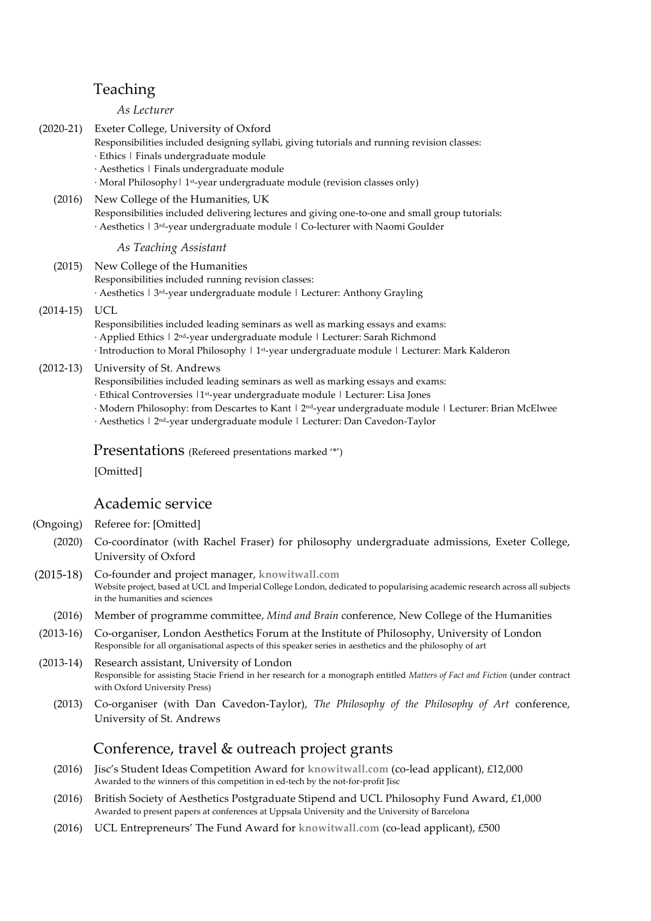# Teaching

#### *As Lecturer*

- (2020-21) Exeter College, University of Oxford
	- Responsibilities included designing syllabi, giving tutorials and running revision classes:
	- · Ethics | Finals undergraduate module
	- · Aesthetics | Finals undergraduate module
	- · Moral Philosophy| 1st-year undergraduate module (revision classes only)
	- (2016) New College of the Humanities, UK

Responsibilities included delivering lectures and giving one-to-one and small group tutorials: · Aesthetics | 3rd-year undergraduate module | Co-lecturer with Naomi Goulder

*As Teaching Assistant*

(2015) New College of the Humanities Responsibilities included running revision classes: · Aesthetics | 3rd-year undergraduate module | Lecturer: Anthony Grayling

(2014-15) UCL

- Responsibilities included leading seminars as well as marking essays and exams: · Applied Ethics | 2nd-year undergraduate module | Lecturer: Sarah Richmond  $\cdot$  Introduction to Moral Philosophy  $\textsf{I}$  1st-year undergraduate module  $\textsf{I}$  Lecturer: Mark Kalderon
- 
- (2012-13) University of St. Andrews
	- Responsibilities included leading seminars as well as marking essays and exams:
	- · Ethical Controversies |1st-year undergraduate module | Lecturer: Lisa Jones
	- · Modern Philosophy: from Descartes to Kant | 2nd-year undergraduate module | Lecturer: Brian McElwee
	- · Aesthetics | 2nd-year undergraduate module | Lecturer: Dan Cavedon-Taylor

Presentations (Refereed presentations marked '\*')

[Omitted]

## Academic service

(Ongoing) Referee for: [Omitted]

- (2020) Co-coordinator (with Rachel Fraser) for philosophy undergraduate admissions, Exeter College, University of Oxford
- (2015-18) Co-founder and project manager, **knowitwall.com** Website project, based at UCL and Imperial College London, dedicated to popularising academic research across all subjects in the humanities and sciences
	- (2016) Member of programme committee, *Mind and Brain* conference, New College of the Humanities
- (2013-16) Co-organiser, London Aesthetics Forum at the Institute of Philosophy, University of London Responsible for all organisational aspects of this speaker series in aesthetics and the philosophy of art
- (2013-14) Research assistant, University of London Responsible for assisting Stacie Friend in her research for a monograph entitled *Matters of Fact and Fiction* (under contract with Oxford University Press)
	- (2013) Co-organiser (with Dan Cavedon-Taylor), *The Philosophy of the Philosophy of Art* conference, University of St. Andrews

# Conference, travel & outreach project grants

- (2016) Jisc's Student Ideas Competition Award for **knowitwall.com** (co-lead applicant), £12,000 Awarded to the winners of this competition in ed-tech by the not-for-profit Jisc
- (2016) British Society of Aesthetics Postgraduate Stipend and UCL Philosophy Fund Award,  $£1,000$ Awarded to present papers at conferences at Uppsala University and the University of Barcelona
- (2016) UCL Entrepreneurs' The Fund Award for **knowitwall.com** (co-lead applicant), £500